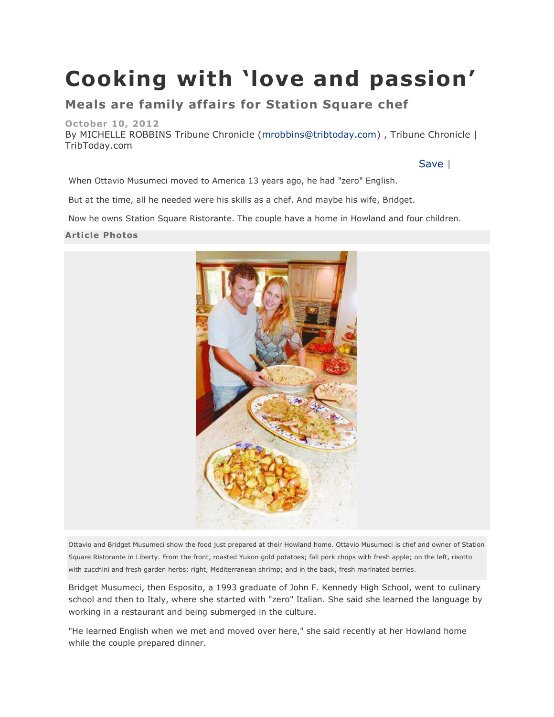# **Cooking with 'love and passion'**

## **Meals are family affairs for Station Square chef**

#### **October 10, 2012**

By MICHELLE ROBBINS Tribune Chronicle [\(mrobbins@tribtoday.com\)](mailto:mrobbins@tribtoday.com) , Tribune Chronicle | TribToday.com

### [Save](http://www.tribtoday.com/?page=mscontent.saveContentMsg&showlayout=0&id=577624&nav=5218) |

When Ottavio Musumeci moved to America 13 years ago, he had "zero" English.

But at the time, all he needed were his skills as a chef. And maybe his wife, Bridget.

Now he owns Station Square Ristorante. The couple have a home in Howland and four children.

#### **Article Photos**



Ottavio and Bridget Musumeci show the food just prepared at their Howland home. Ottavio Musumeci is chef and owner of Station Square Ristorante in Liberty. From the front, roasted Yukon gold potatoes; fall pork chops with fresh apple; on the left, risotto with zucchini and fresh garden herbs; right, Mediterranean shrimp; and in the back, fresh marinated berries.

Bridget Musumeci, then Esposito, a 1993 graduate of John F. Kennedy High School, went to culinary school and then to Italy, where she started with "zero" Italian. She said she learned the language by working in a restaurant and being submerged in the culture.

"He learned English when we met and moved over here," she said recently at her Howland home while the couple prepared dinner.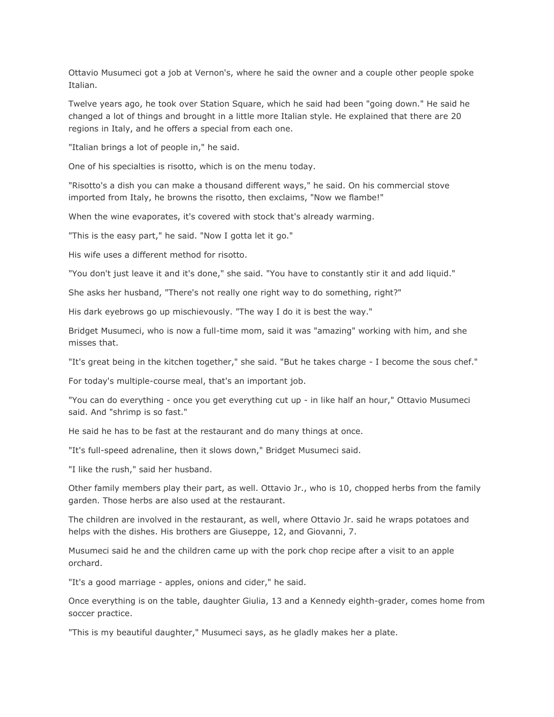Ottavio Musumeci got a job at Vernon's, where he said the owner and a couple other people spoke Italian.

Twelve years ago, he took over Station Square, which he said had been "going down." He said he changed a lot of things and brought in a little more Italian style. He explained that there are 20 regions in Italy, and he offers a special from each one.

"Italian brings a lot of people in," he said.

One of his specialties is risotto, which is on the menu today.

"Risotto's a dish you can make a thousand different ways," he said. On his commercial stove imported from Italy, he browns the risotto, then exclaims, "Now we flambe!"

When the wine evaporates, it's covered with stock that's already warming.

"This is the easy part," he said. "Now I gotta let it go."

His wife uses a different method for risotto.

"You don't just leave it and it's done," she said. "You have to constantly stir it and add liquid."

She asks her husband, "There's not really one right way to do something, right?"

His dark eyebrows go up mischievously. "The way I do it is best the way."

Bridget Musumeci, who is now a full-time mom, said it was "amazing" working with him, and she misses that.

"It's great being in the kitchen together," she said. "But he takes charge - I become the sous chef."

For today's multiple-course meal, that's an important job.

"You can do everything - once you get everything cut up - in like half an hour," Ottavio Musumeci said. And "shrimp is so fast."

He said he has to be fast at the restaurant and do many things at once.

"It's full-speed adrenaline, then it slows down," Bridget Musumeci said.

"I like the rush," said her husband.

Other family members play their part, as well. Ottavio Jr., who is 10, chopped herbs from the family garden. Those herbs are also used at the restaurant.

The children are involved in the restaurant, as well, where Ottavio Jr. said he wraps potatoes and helps with the dishes. His brothers are Giuseppe, 12, and Giovanni, 7.

Musumeci said he and the children came up with the pork chop recipe after a visit to an apple orchard.

"It's a good marriage - apples, onions and cider," he said.

Once everything is on the table, daughter Giulia, 13 and a Kennedy eighth-grader, comes home from soccer practice.

"This is my beautiful daughter," Musumeci says, as he gladly makes her a plate.